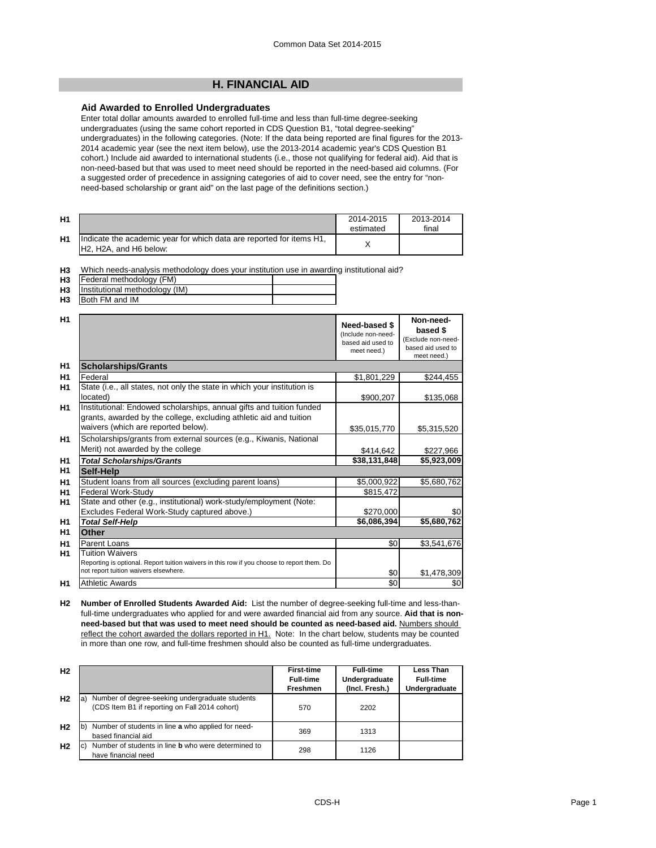# **H. FINANCIAL AID**

### **Aid Awarded to Enrolled Undergraduates**

Enter total dollar amounts awarded to enrolled full-time and less than full-time degree-seeking undergraduates (using the same cohort reported in CDS Question B1, "total degree-seeking" undergraduates) in the following categories. (Note: If the data being reported are final figures for the 2013- 2014 academic year (see the next item below), use the 2013-2014 academic year's CDS Question B1 cohort.) Include aid awarded to international students (i.e., those not qualifying for federal aid). Aid that is non-need-based but that was used to meet need should be reported in the need-based aid columns. (For a suggested order of precedence in assigning categories of aid to cover need, see the entry for "nonneed-based scholarship or grant aid" on the last page of the definitions section.)

| H <sub>1</sub> |                                                                                                                                      | 2014-2015<br>estimated | 2013-2014<br>final |
|----------------|--------------------------------------------------------------------------------------------------------------------------------------|------------------------|--------------------|
| H1             | Indicate the academic year for which data are reported for items H1,<br>H <sub>2</sub> . H <sub>2</sub> A, and H <sub>6</sub> below: |                        |                    |

**H3** Which needs-analysis methodology does your institution use in awarding institutional aid?

| H <sub>3</sub> | Federal methodology (FM)                                                                            |  |
|----------------|-----------------------------------------------------------------------------------------------------|--|
| பு             | $\mathsf{I}$ and $\mathsf{I}$ is a set of the set of $\mathsf{I}$ and $\mathsf{I}$ and $\mathsf{I}$ |  |

**H3 H3** Both FM and IM Institutional methodology (IM)

| H1             |                                                                                                                                                                                   | Need-based \$<br>(Include non-need-<br>based aid used to<br>meet need.) | Non-need-<br>based \$<br>(Exclude non-need-<br>based aid used to<br>meet need.) |
|----------------|-----------------------------------------------------------------------------------------------------------------------------------------------------------------------------------|-------------------------------------------------------------------------|---------------------------------------------------------------------------------|
| H1             | <b>Scholarships/Grants</b>                                                                                                                                                        |                                                                         |                                                                                 |
| H1             | Federal                                                                                                                                                                           | \$1,801,229                                                             | \$244,455                                                                       |
| H1             | State (i.e., all states, not only the state in which your institution is<br>located)                                                                                              | \$900,207                                                               | \$135,068                                                                       |
| H1             | Institutional: Endowed scholarships, annual gifts and tuition funded<br>grants, awarded by the college, excluding athletic aid and tuition<br>waivers (which are reported below). | \$35,015,770                                                            | \$5,315,520                                                                     |
| <b>H1</b>      | Scholarships/grants from external sources (e.g., Kiwanis, National<br>Merit) not awarded by the college                                                                           | \$414,642                                                               | \$227,966                                                                       |
| <b>H1</b>      | <b>Total Scholarships/Grants</b>                                                                                                                                                  | \$38,131,848                                                            | \$5,923,009                                                                     |
| H1             | Self-Help                                                                                                                                                                         |                                                                         |                                                                                 |
| H1             | Student loans from all sources (excluding parent loans)                                                                                                                           | \$5,000,922                                                             | \$5,680,762                                                                     |
| H1             | Federal Work-Study                                                                                                                                                                | \$815,472                                                               |                                                                                 |
| H1             | State and other (e.g., institutional) work-study/employment (Note:                                                                                                                |                                                                         |                                                                                 |
|                | Excludes Federal Work-Study captured above.)                                                                                                                                      | \$270,000                                                               | \$0                                                                             |
| H1             | <b>Total Self-Help</b>                                                                                                                                                            | \$6,086,394                                                             | \$5,680,762                                                                     |
| H1             | Other                                                                                                                                                                             |                                                                         |                                                                                 |
| H1             | Parent Loans                                                                                                                                                                      | \$0                                                                     | \$3,541,676                                                                     |
| H <sub>1</sub> | Tuition Waivers<br>Reporting is optional. Report tuition waivers in this row if you choose to report them. Do<br>not report tuition waivers elsewhere.                            | \$0                                                                     | \$1,478,309                                                                     |
| H1             | <b>Athletic Awards</b>                                                                                                                                                            | \$0                                                                     | \$0                                                                             |

**H2 Number of Enrolled Students Awarded Aid:** List the number of degree-seeking full-time and less-thanfull-time undergraduates who applied for and were awarded financial aid from any source. **Aid that is nonneed-based but that was used to meet need should be counted as need-based aid.** Numbers should reflect the cohort awarded the dollars reported in H1. Note: In the chart below, students may be counted in more than one row, and full-time freshmen should also be counted as full-time undergraduates.

| H <sub>2</sub> |                                                                                                          | <b>First-time</b> | <b>Full-time</b> | Less Than        |
|----------------|----------------------------------------------------------------------------------------------------------|-------------------|------------------|------------------|
|                |                                                                                                          | <b>Full-time</b>  | Undergraduate    | <b>Full-time</b> |
|                |                                                                                                          | <b>Freshmen</b>   | (Incl. Fresh.)   | Undergraduate    |
| H <sub>2</sub> | Number of degree-seeking undergraduate students<br>la:<br>(CDS Item B1 if reporting on Fall 2014 cohort) | 570               | 2202             |                  |
| H <sub>2</sub> | Number of students in line a who applied for need-<br>lb)<br>based financial aid                         | 369               | 1313             |                  |
| H <sub>2</sub> | Number of students in line <b>b</b> who were determined to<br>C)<br>have financial need                  | 298               | 1126             |                  |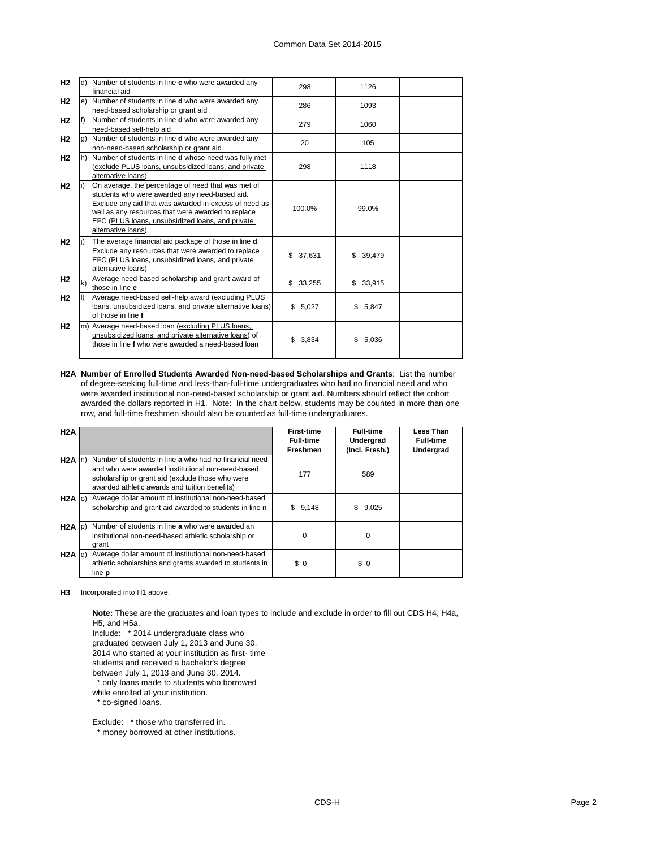| H <sub>2</sub> |    | d) Number of students in line c who were awarded any<br>financial aid                                                                                                                                                                                                                        | 298          | 1126         |  |
|----------------|----|----------------------------------------------------------------------------------------------------------------------------------------------------------------------------------------------------------------------------------------------------------------------------------------------|--------------|--------------|--|
| H <sub>2</sub> | e) | Number of students in line <b>d</b> who were awarded any<br>need-based scholarship or grant aid                                                                                                                                                                                              | 286          | 1093         |  |
| H2             |    | Number of students in line <b>d</b> who were awarded any<br>need-based self-help aid                                                                                                                                                                                                         | 279          | 1060         |  |
| H <sub>2</sub> | g) | Number of students in line <b>d</b> who were awarded any<br>non-need-based scholarship or grant aid                                                                                                                                                                                          | 20           | 105          |  |
| H <sub>2</sub> | h) | Number of students in line d whose need was fully met<br>(exclude PLUS loans, unsubsidized loans, and private<br>alternative loans)                                                                                                                                                          | 298          | 1118         |  |
| H <sub>2</sub> |    | On average, the percentage of need that was met of<br>students who were awarded any need-based aid.<br>Exclude any aid that was awarded in excess of need as<br>well as any resources that were awarded to replace<br>EFC (PLUS loans, unsubsidized loans, and private<br>alternative loans) | 100.0%       | 99.0%        |  |
| H <sub>2</sub> |    | The average financial aid package of those in line d.<br>Exclude any resources that were awarded to replace<br>EFC (PLUS loans, unsubsidized loans, and private<br>alternative loans)                                                                                                        | \$37,631     | 39,479<br>\$ |  |
| H <sub>2</sub> | k) | Average need-based scholarship and grant award of<br>those in line e                                                                                                                                                                                                                         | 33,255<br>\$ | \$33,915     |  |
| H <sub>2</sub> |    | Average need-based self-help award (excluding PLUS<br>loans, unsubsidized loans, and private alternative loans)<br>of those in line f                                                                                                                                                        | \$5,027      | \$5,847      |  |
| H <sub>2</sub> | m) | Average need-based loan (excluding PLUS loans,<br>unsubsidized loans, and private alternative loans) of<br>those in line f who were awarded a need-based loan                                                                                                                                | \$.<br>3,834 | 5,036<br>\$  |  |

**H2A Number of Enrolled Students Awarded Non-need-based Scholarships and Grants**: List the number of degree-seeking full-time and less-than-full-time undergraduates who had no financial need and who were awarded institutional non-need-based scholarship or grant aid. Numbers should reflect the cohort awarded the dollars reported in H1. Note: In the chart below, students may be counted in more than one row, and full-time freshmen should also be counted as full-time undergraduates.

| H2A               |                                                                                                                                                                                                                  | <b>First-time</b> | <b>Full-time</b> | Less Than        |
|-------------------|------------------------------------------------------------------------------------------------------------------------------------------------------------------------------------------------------------------|-------------------|------------------|------------------|
|                   |                                                                                                                                                                                                                  | <b>Full-time</b>  | Undergrad        | <b>Full-time</b> |
|                   |                                                                                                                                                                                                                  | <b>Freshmen</b>   | (Incl. Fresh.)   | Undergrad        |
| $H2A$ In          | Number of students in line a who had no financial need<br>and who were awarded institutional non-need-based<br>scholarship or grant aid (exclude those who were<br>awarded athletic awards and tuition benefits) | 177               | 589              |                  |
| $H2A$ (c)         | Average dollar amount of institutional non-need-based<br>scholarship and grant aid awarded to students in line n                                                                                                 | \$9,148           | \$9,025          |                  |
| $H2A$ $ p\rangle$ | Number of students in line a who were awarded an<br>institutional non-need-based athletic scholarship or<br>grant                                                                                                | $\Omega$          | $\Omega$         |                  |
| $H2A$ $q$ )       | Average dollar amount of institutional non-need-based<br>athletic scholarships and grants awarded to students in<br>line <b>p</b>                                                                                | \$0               | \$0              |                  |

**H3** Incorporated into H1 above.

**Note:** These are the graduates and loan types to include and exclude in order to fill out CDS H4, H4a, H5, and H5a.

Include: \* 2014 undergraduate class who

graduated between July 1, 2013 and June 30,

2014 who started at your institution as first- time

students and received a bachelor's degree

between July 1, 2013 and June 30, 2014.

 \* only loans made to students who borrowed while enrolled at your institution.

\* co-signed loans.

Exclude: \* those who transferred in.

\* money borrowed at other institutions.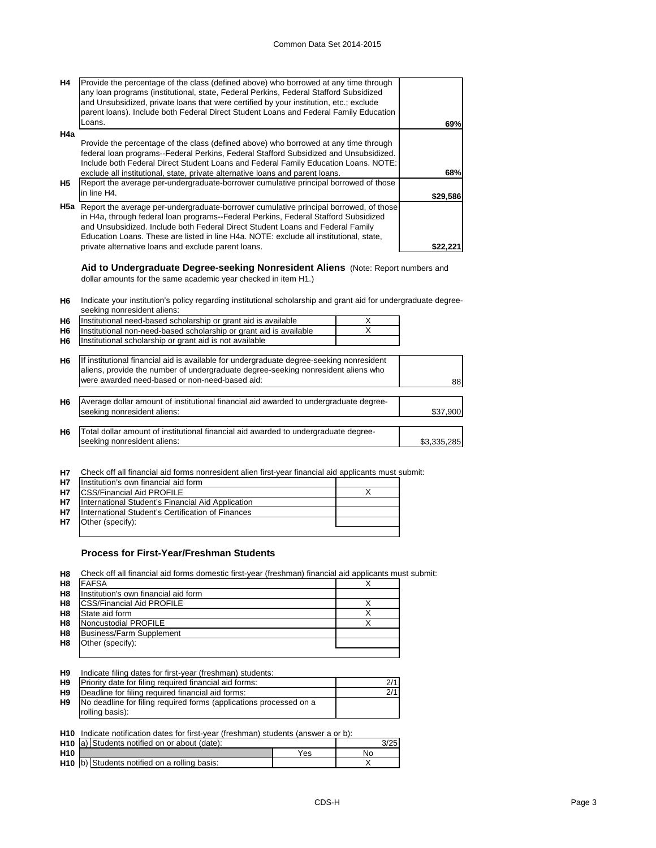| <b>H4</b> | Provide the percentage of the class (defined above) who borrowed at any time through<br>any loan programs (institutional, state, Federal Perkins, Federal Stafford Subsidized<br>and Unsubsidized, private loans that were certified by your institution, etc.; exclude<br>parent loans). Include both Federal Direct Student Loans and Federal Family Education    |          |
|-----------|---------------------------------------------------------------------------------------------------------------------------------------------------------------------------------------------------------------------------------------------------------------------------------------------------------------------------------------------------------------------|----------|
|           | Loans.                                                                                                                                                                                                                                                                                                                                                              | 69%      |
| H4a       |                                                                                                                                                                                                                                                                                                                                                                     |          |
|           | Provide the percentage of the class (defined above) who borrowed at any time through<br>federal loan programs--Federal Perkins, Federal Stafford Subsidized and Unsubsidized.<br>Include both Federal Direct Student Loans and Federal Family Education Loans. NOTE:<br>exclude all institutional, state, private alternative loans and parent loans.               | 68%      |
| H5        | Report the average per-undergraduate-borrower cumulative principal borrowed of those                                                                                                                                                                                                                                                                                |          |
|           | in line H4.                                                                                                                                                                                                                                                                                                                                                         | \$29,586 |
|           | <b>H5a</b> Report the average per-undergraduate-borrower cumulative principal borrowed, of those<br>in H4a, through federal loan programs--Federal Perkins, Federal Stafford Subsidized<br>and Unsubsidized. Include both Federal Direct Student Loans and Federal Family<br>Education Loans. These are listed in line H4a. NOTE: exclude all institutional, state, |          |
|           | private alternative loans and exclude parent loans.                                                                                                                                                                                                                                                                                                                 |          |

**Aid to Undergraduate Degree-seeking Nonresident Aliens** (Note: Report numbers and dollar amounts for the same academic year checked in item H1.)

**H6** Indicate your institution's policy regarding institutional scholarship and grant aid for undergraduate degreeseeking nonresident aliens:

| H <sub>6</sub> | Institutional need-based scholarship or grant aid is available                           | X |             |
|----------------|------------------------------------------------------------------------------------------|---|-------------|
| H <sub>6</sub> | Institutional non-need-based scholarship or grant aid is available                       |   |             |
| H <sub>6</sub> | Institutional scholarship or grant aid is not available                                  |   |             |
|                |                                                                                          |   |             |
| H <sub>6</sub> | If institutional financial aid is available for undergraduate degree-seeking nonresident |   |             |
|                | aliens, provide the number of undergraduate degree-seeking nonresident aliens who        |   |             |
|                | were awarded need-based or non-need-based aid:                                           |   | 88          |
|                |                                                                                          |   |             |
| H <sub>6</sub> | Average dollar amount of institutional financial aid awarded to undergraduate degree-    |   |             |
|                | seeking nonresident aliens:                                                              |   | \$37,900    |
|                |                                                                                          |   |             |
| H <sub>6</sub> | Total dollar amount of institutional financial aid awarded to undergraduate degree-      |   |             |
|                | seeking nonresident aliens:                                                              |   | \$3,335,285 |
|                |                                                                                          |   |             |
|                |                                                                                          |   |             |

**H7** Check off all financial aid forms nonresident alien first-year financial aid applicants must submit:

| <b>H7</b> | Institution's own financial aid form              |  |
|-----------|---------------------------------------------------|--|
| <b>H7</b> | <b>ICSS/Financial Aid PROFILE</b>                 |  |
| <b>H7</b> | International Student's Financial Aid Application |  |
| <b>H7</b> | International Student's Certification of Finances |  |
| <b>H7</b> | Other (specify):                                  |  |
|           |                                                   |  |

### **Process for First-Year/Freshman Students**

**H8** Check off all financial aid forms domestic first-year (freshman) financial aid applicants must submit:

| H <sub>8</sub> | <b>FAFSA</b>                         |  |
|----------------|--------------------------------------|--|
| H <sub>8</sub> | Institution's own financial aid form |  |
| H <sub>8</sub> | <b>CSS/Financial Aid PROFILE</b>     |  |
| H <sub>8</sub> | State aid form                       |  |
| H <sub>8</sub> | Noncustodial PROFILE                 |  |
| H <sub>8</sub> | Business/Farm Supplement             |  |
| H <sub>8</sub> | Other (specify):                     |  |
|                |                                      |  |

| H <sub>9</sub> | Indicate filing dates for first-year (freshman) students:          |     |
|----------------|--------------------------------------------------------------------|-----|
| H <sub>9</sub> | Priority date for filing required financial aid forms:             | 2/1 |
| H <sub>9</sub> | Deadline for filing required financial aid forms:                  | 2/1 |
| H <sub>9</sub> | No deadline for filing required forms (applications processed on a |     |
|                | rolling basis):                                                    |     |

**H10** Indicate notification dates for first-year (freshman) students (answer a or b):

|     | H <sub>10</sub> a) Students notified on or about (date): |     | 3/25 |
|-----|----------------------------------------------------------|-----|------|
| H10 |                                                          | Yes | No   |
|     | H <sub>10</sub> b) Students notified on a rolling basis: |     |      |